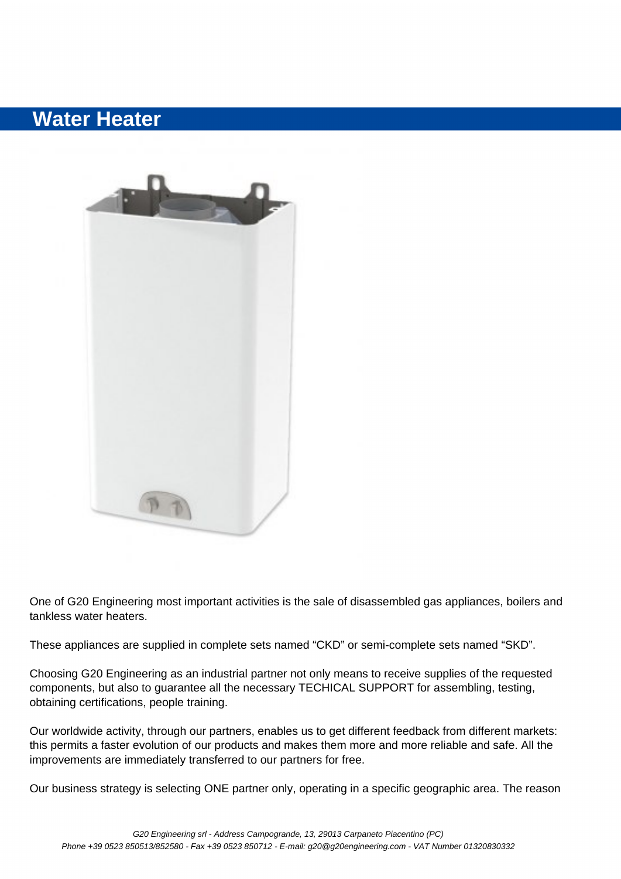## **Water Heater**



One of G20 Engineering most important activities is the sale of disassembled gas appliances, boilers and tankless water heaters.

These appliances are supplied in complete sets named "CKD" or semi-complete sets named "SKD".

Choosing G20 Engineering as an industrial partner not only means to receive supplies of the requested components, but also to guarantee all the necessary TECHICAL SUPPORT for assembling, testing, obtaining certifications, people training.

Our worldwide activity, through our partners, enables us to get different feedback from different markets: this permits a faster evolution of our products and makes them more and more reliable and safe. All the improvements are immediately transferred to our partners for free.

Our business strategy is selecting ONE partner only, operating in a specific geographic area. The reason